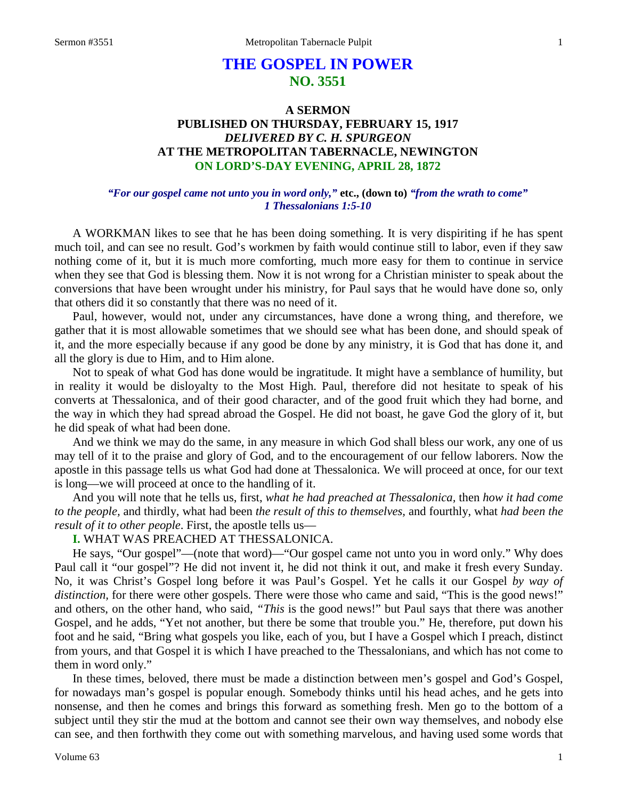# **THE GOSPEL IN POWER NO. 3551**

## **A SERMON PUBLISHED ON THURSDAY, FEBRUARY 15, 1917** *DELIVERED BY C. H. SPURGEON* **AT THE METROPOLITAN TABERNACLE, NEWINGTON ON LORD'S-DAY EVENING, APRIL 28, 1872**

#### *"For our gospel came not unto you in word only,"* **etc., (down to)** *"from the wrath to come" 1 Thessalonians 1:5-10*

A WORKMAN likes to see that he has been doing something. It is very dispiriting if he has spent much toil, and can see no result. God's workmen by faith would continue still to labor, even if they saw nothing come of it, but it is much more comforting, much more easy for them to continue in service when they see that God is blessing them. Now it is not wrong for a Christian minister to speak about the conversions that have been wrought under his ministry, for Paul says that he would have done so, only that others did it so constantly that there was no need of it.

Paul, however, would not, under any circumstances, have done a wrong thing, and therefore, we gather that it is most allowable sometimes that we should see what has been done, and should speak of it, and the more especially because if any good be done by any ministry, it is God that has done it, and all the glory is due to Him, and to Him alone.

Not to speak of what God has done would be ingratitude. It might have a semblance of humility, but in reality it would be disloyalty to the Most High. Paul, therefore did not hesitate to speak of his converts at Thessalonica, and of their good character, and of the good fruit which they had borne, and the way in which they had spread abroad the Gospel. He did not boast, he gave God the glory of it, but he did speak of what had been done.

And we think we may do the same, in any measure in which God shall bless our work, any one of us may tell of it to the praise and glory of God, and to the encouragement of our fellow laborers. Now the apostle in this passage tells us what God had done at Thessalonica. We will proceed at once, for our text is long—we will proceed at once to the handling of it.

And you will note that he tells us, first, *what he had preached at Thessalonica,* then *how it had come to the people,* and thirdly, what had been *the result of this to themselves,* and fourthly, what *had been the result of it to other people*. First, the apostle tells us—

## **I.** WHAT WAS PREACHED AT THESSALONICA.

He says, "Our gospel"—(note that word)—"Our gospel came not unto you in word only." Why does Paul call it "our gospel"? He did not invent it, he did not think it out, and make it fresh every Sunday. No, it was Christ's Gospel long before it was Paul's Gospel. Yet he calls it our Gospel *by way of distinction*, for there were other gospels. There were those who came and said, "This is the good news!" and others, on the other hand, who said, *"This* is the good news!" but Paul says that there was another Gospel, and he adds, "Yet not another, but there be some that trouble you." He, therefore, put down his foot and he said, "Bring what gospels you like, each of you, but I have a Gospel which I preach, distinct from yours, and that Gospel it is which I have preached to the Thessalonians, and which has not come to them in word only."

In these times, beloved, there must be made a distinction between men's gospel and God's Gospel, for nowadays man's gospel is popular enough. Somebody thinks until his head aches, and he gets into nonsense, and then he comes and brings this forward as something fresh. Men go to the bottom of a subject until they stir the mud at the bottom and cannot see their own way themselves, and nobody else can see, and then forthwith they come out with something marvelous, and having used some words that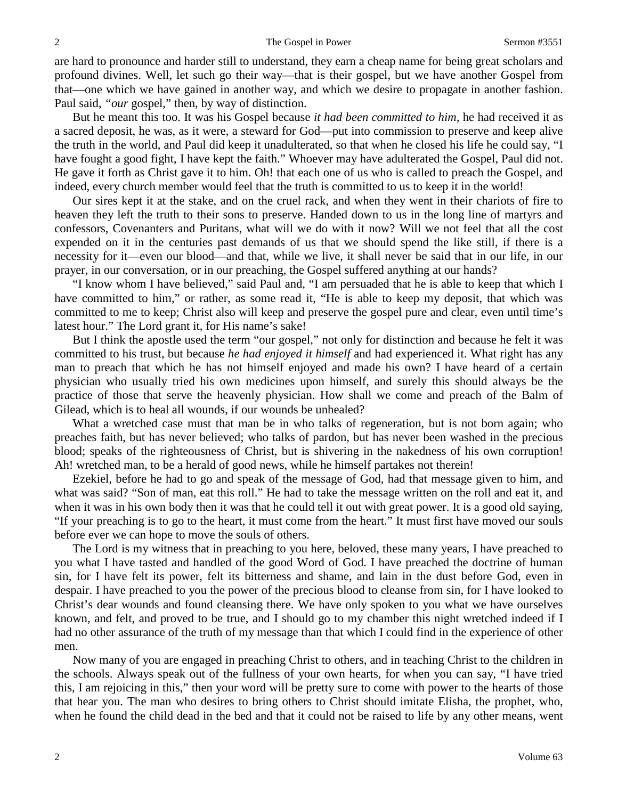are hard to pronounce and harder still to understand, they earn a cheap name for being great scholars and profound divines. Well, let such go their way—that is their gospel, but we have another Gospel from that—one which we have gained in another way, and which we desire to propagate in another fashion. Paul said, *"our* gospel," then, by way of distinction.

But he meant this too. It was his Gospel because *it had been committed to him,* he had received it as a sacred deposit, he was, as it were, a steward for God—put into commission to preserve and keep alive the truth in the world, and Paul did keep it unadulterated, so that when he closed his life he could say, "I have fought a good fight, I have kept the faith." Whoever may have adulterated the Gospel, Paul did not. He gave it forth as Christ gave it to him. Oh! that each one of us who is called to preach the Gospel, and indeed, every church member would feel that the truth is committed to us to keep it in the world!

Our sires kept it at the stake, and on the cruel rack, and when they went in their chariots of fire to heaven they left the truth to their sons to preserve. Handed down to us in the long line of martyrs and confessors, Covenanters and Puritans, what will we do with it now? Will we not feel that all the cost expended on it in the centuries past demands of us that we should spend the like still, if there is a necessity for it—even our blood—and that, while we live, it shall never be said that in our life, in our prayer, in our conversation, or in our preaching, the Gospel suffered anything at our hands?

"I know whom I have believed," said Paul and, "I am persuaded that he is able to keep that which I have committed to him," or rather, as some read it, "He is able to keep my deposit, that which was committed to me to keep; Christ also will keep and preserve the gospel pure and clear, even until time's latest hour." The Lord grant it, for His name's sake!

But I think the apostle used the term "our gospel," not only for distinction and because he felt it was committed to his trust, but because *he had enjoyed it himself* and had experienced it. What right has any man to preach that which he has not himself enjoyed and made his own? I have heard of a certain physician who usually tried his own medicines upon himself, and surely this should always be the practice of those that serve the heavenly physician. How shall we come and preach of the Balm of Gilead, which is to heal all wounds, if our wounds be unhealed?

What a wretched case must that man be in who talks of regeneration, but is not born again; who preaches faith, but has never believed; who talks of pardon, but has never been washed in the precious blood; speaks of the righteousness of Christ, but is shivering in the nakedness of his own corruption! Ah! wretched man, to be a herald of good news, while he himself partakes not therein!

Ezekiel, before he had to go and speak of the message of God, had that message given to him, and what was said? "Son of man, eat this roll." He had to take the message written on the roll and eat it, and when it was in his own body then it was that he could tell it out with great power. It is a good old saying, "If your preaching is to go to the heart, it must come from the heart." It must first have moved our souls before ever we can hope to move the souls of others.

The Lord is my witness that in preaching to you here, beloved, these many years, I have preached to you what I have tasted and handled of the good Word of God. I have preached the doctrine of human sin, for I have felt its power, felt its bitterness and shame, and lain in the dust before God, even in despair. I have preached to you the power of the precious blood to cleanse from sin, for I have looked to Christ's dear wounds and found cleansing there. We have only spoken to you what we have ourselves known, and felt, and proved to be true, and I should go to my chamber this night wretched indeed if I had no other assurance of the truth of my message than that which I could find in the experience of other men.

Now many of you are engaged in preaching Christ to others, and in teaching Christ to the children in the schools. Always speak out of the fullness of your own hearts, for when you can say, "I have tried this, I am rejoicing in this," then your word will be pretty sure to come with power to the hearts of those that hear you. The man who desires to bring others to Christ should imitate Elisha, the prophet, who, when he found the child dead in the bed and that it could not be raised to life by any other means, went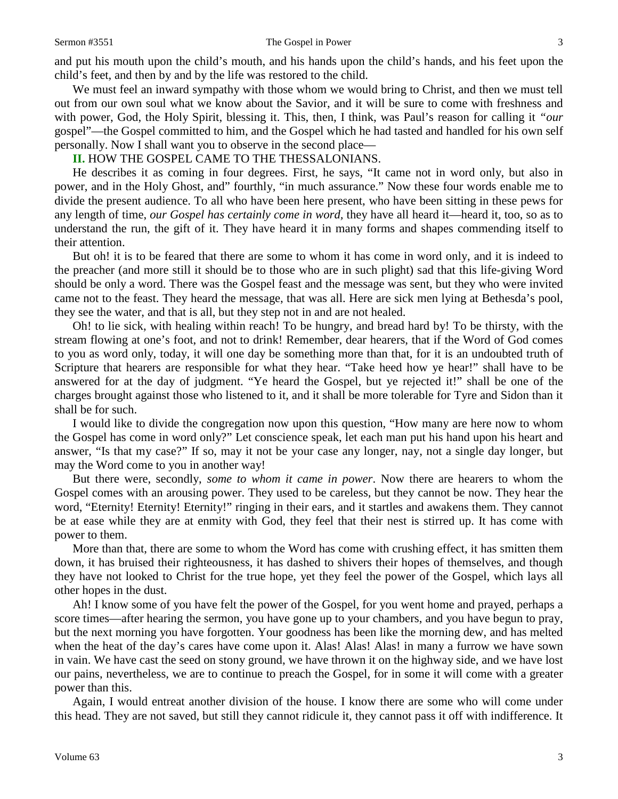#### Sermon #3551 The Gospel in Power 3

and put his mouth upon the child's mouth, and his hands upon the child's hands, and his feet upon the child's feet, and then by and by the life was restored to the child.

We must feel an inward sympathy with those whom we would bring to Christ, and then we must tell out from our own soul what we know about the Savior, and it will be sure to come with freshness and with power, God, the Holy Spirit, blessing it. This, then, I think, was Paul's reason for calling it *"our* gospel"—the Gospel committed to him, and the Gospel which he had tasted and handled for his own self personally. Now I shall want you to observe in the second place—

#### **II.** HOW THE GOSPEL CAME TO THE THESSALONIANS.

He describes it as coming in four degrees. First, he says, "It came not in word only, but also in power, and in the Holy Ghost, and" fourthly, "in much assurance." Now these four words enable me to divide the present audience. To all who have been here present, who have been sitting in these pews for any length of time, *our Gospel has certainly come in word,* they have all heard it—heard it, too, so as to understand the run, the gift of it. They have heard it in many forms and shapes commending itself to their attention.

But oh! it is to be feared that there are some to whom it has come in word only, and it is indeed to the preacher (and more still it should be to those who are in such plight) sad that this life-giving Word should be only a word. There was the Gospel feast and the message was sent, but they who were invited came not to the feast. They heard the message, that was all. Here are sick men lying at Bethesda's pool, they see the water, and that is all, but they step not in and are not healed.

Oh! to lie sick, with healing within reach! To be hungry, and bread hard by! To be thirsty, with the stream flowing at one's foot, and not to drink! Remember, dear hearers, that if the Word of God comes to you as word only, today, it will one day be something more than that, for it is an undoubted truth of Scripture that hearers are responsible for what they hear. "Take heed how ye hear!" shall have to be answered for at the day of judgment. "Ye heard the Gospel, but ye rejected it!" shall be one of the charges brought against those who listened to it, and it shall be more tolerable for Tyre and Sidon than it shall be for such.

I would like to divide the congregation now upon this question, "How many are here now to whom the Gospel has come in word only?" Let conscience speak, let each man put his hand upon his heart and answer, "Is that my case?" If so, may it not be your case any longer, nay, not a single day longer, but may the Word come to you in another way!

But there were, secondly, *some to whom it came in power*. Now there are hearers to whom the Gospel comes with an arousing power. They used to be careless, but they cannot be now. They hear the word, "Eternity! Eternity! Eternity!" ringing in their ears, and it startles and awakens them. They cannot be at ease while they are at enmity with God, they feel that their nest is stirred up. It has come with power to them.

More than that, there are some to whom the Word has come with crushing effect, it has smitten them down, it has bruised their righteousness, it has dashed to shivers their hopes of themselves, and though they have not looked to Christ for the true hope, yet they feel the power of the Gospel, which lays all other hopes in the dust.

Ah! I know some of you have felt the power of the Gospel, for you went home and prayed, perhaps a score times—after hearing the sermon, you have gone up to your chambers, and you have begun to pray, but the next morning you have forgotten. Your goodness has been like the morning dew, and has melted when the heat of the day's cares have come upon it. Alas! Alas! Alas! in many a furrow we have sown in vain. We have cast the seed on stony ground, we have thrown it on the highway side, and we have lost our pains, nevertheless, we are to continue to preach the Gospel, for in some it will come with a greater power than this.

Again, I would entreat another division of the house. I know there are some who will come under this head. They are not saved, but still they cannot ridicule it, they cannot pass it off with indifference. It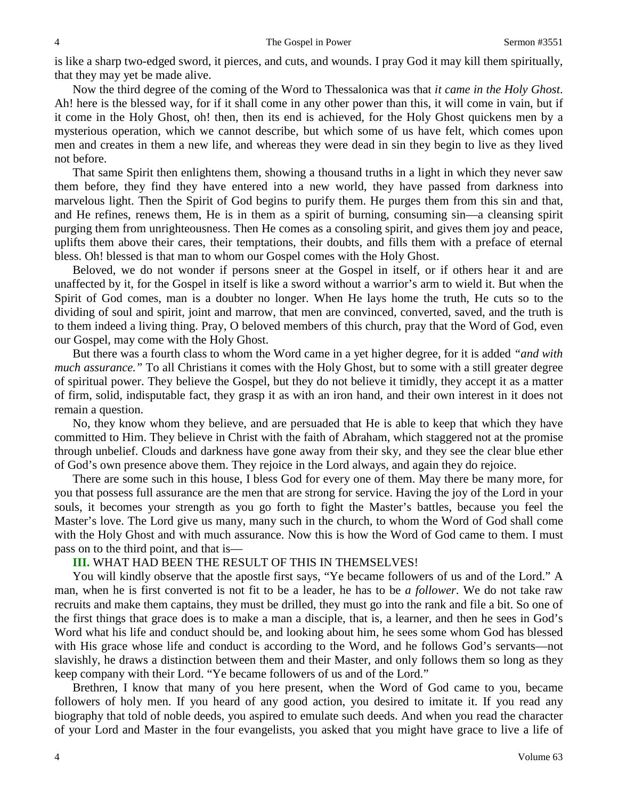is like a sharp two-edged sword, it pierces, and cuts, and wounds. I pray God it may kill them spiritually, that they may yet be made alive.

Now the third degree of the coming of the Word to Thessalonica was that *it came in the Holy Ghost*. Ah! here is the blessed way, for if it shall come in any other power than this, it will come in vain, but if it come in the Holy Ghost, oh! then, then its end is achieved, for the Holy Ghost quickens men by a mysterious operation, which we cannot describe, but which some of us have felt, which comes upon men and creates in them a new life, and whereas they were dead in sin they begin to live as they lived not before.

That same Spirit then enlightens them, showing a thousand truths in a light in which they never saw them before, they find they have entered into a new world, they have passed from darkness into marvelous light. Then the Spirit of God begins to purify them. He purges them from this sin and that, and He refines, renews them, He is in them as a spirit of burning, consuming sin—a cleansing spirit purging them from unrighteousness. Then He comes as a consoling spirit, and gives them joy and peace, uplifts them above their cares, their temptations, their doubts, and fills them with a preface of eternal bless. Oh! blessed is that man to whom our Gospel comes with the Holy Ghost.

Beloved, we do not wonder if persons sneer at the Gospel in itself, or if others hear it and are unaffected by it, for the Gospel in itself is like a sword without a warrior's arm to wield it. But when the Spirit of God comes, man is a doubter no longer. When He lays home the truth, He cuts so to the dividing of soul and spirit, joint and marrow, that men are convinced, converted, saved, and the truth is to them indeed a living thing. Pray, O beloved members of this church, pray that the Word of God, even our Gospel, may come with the Holy Ghost.

But there was a fourth class to whom the Word came in a yet higher degree, for it is added *"and with much assurance."* To all Christians it comes with the Holy Ghost, but to some with a still greater degree of spiritual power. They believe the Gospel, but they do not believe it timidly, they accept it as a matter of firm, solid, indisputable fact, they grasp it as with an iron hand, and their own interest in it does not remain a question.

No, they know whom they believe, and are persuaded that He is able to keep that which they have committed to Him. They believe in Christ with the faith of Abraham, which staggered not at the promise through unbelief. Clouds and darkness have gone away from their sky, and they see the clear blue ether of God's own presence above them. They rejoice in the Lord always, and again they do rejoice.

There are some such in this house, I bless God for every one of them. May there be many more, for you that possess full assurance are the men that are strong for service. Having the joy of the Lord in your souls, it becomes your strength as you go forth to fight the Master's battles, because you feel the Master's love. The Lord give us many, many such in the church, to whom the Word of God shall come with the Holy Ghost and with much assurance. Now this is how the Word of God came to them. I must pass on to the third point, and that is—

#### **III.** WHAT HAD BEEN THE RESULT OF THIS IN THEMSELVES!

You will kindly observe that the apostle first says, "Ye became followers of us and of the Lord." A man, when he is first converted is not fit to be a leader, he has to be *a follower*. We do not take raw recruits and make them captains, they must be drilled, they must go into the rank and file a bit. So one of the first things that grace does is to make a man a disciple, that is, a learner, and then he sees in God's Word what his life and conduct should be, and looking about him, he sees some whom God has blessed with His grace whose life and conduct is according to the Word, and he follows God's servants—not slavishly, he draws a distinction between them and their Master, and only follows them so long as they keep company with their Lord. "Ye became followers of us and of the Lord."

Brethren, I know that many of you here present, when the Word of God came to you, became followers of holy men. If you heard of any good action, you desired to imitate it. If you read any biography that told of noble deeds, you aspired to emulate such deeds. And when you read the character of your Lord and Master in the four evangelists, you asked that you might have grace to live a life of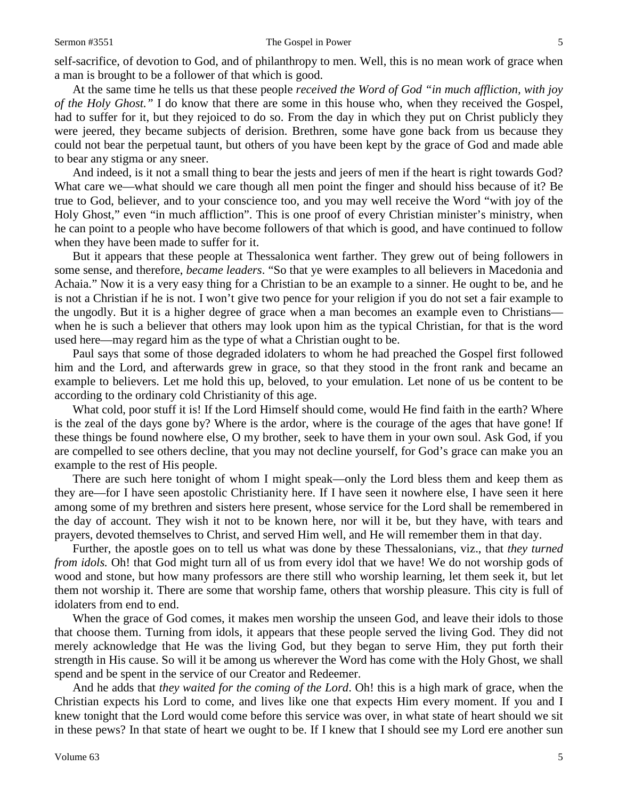self-sacrifice, of devotion to God, and of philanthropy to men. Well, this is no mean work of grace when a man is brought to be a follower of that which is good.

At the same time he tells us that these people *received the Word of God "in much affliction, with joy of the Holy Ghost."* I do know that there are some in this house who, when they received the Gospel, had to suffer for it, but they rejoiced to do so. From the day in which they put on Christ publicly they were jeered, they became subjects of derision. Brethren, some have gone back from us because they could not bear the perpetual taunt, but others of you have been kept by the grace of God and made able to bear any stigma or any sneer.

And indeed, is it not a small thing to bear the jests and jeers of men if the heart is right towards God? What care we—what should we care though all men point the finger and should hiss because of it? Be true to God, believer, and to your conscience too, and you may well receive the Word "with joy of the Holy Ghost," even "in much affliction". This is one proof of every Christian minister's ministry, when he can point to a people who have become followers of that which is good, and have continued to follow when they have been made to suffer for it.

But it appears that these people at Thessalonica went farther. They grew out of being followers in some sense, and therefore, *became leaders*. "So that ye were examples to all believers in Macedonia and Achaia." Now it is a very easy thing for a Christian to be an example to a sinner. He ought to be, and he is not a Christian if he is not. I won't give two pence for your religion if you do not set a fair example to the ungodly. But it is a higher degree of grace when a man becomes an example even to Christians when he is such a believer that others may look upon him as the typical Christian, for that is the word used here—may regard him as the type of what a Christian ought to be.

Paul says that some of those degraded idolaters to whom he had preached the Gospel first followed him and the Lord, and afterwards grew in grace, so that they stood in the front rank and became an example to believers. Let me hold this up, beloved, to your emulation. Let none of us be content to be according to the ordinary cold Christianity of this age.

What cold, poor stuff it is! If the Lord Himself should come, would He find faith in the earth? Where is the zeal of the days gone by? Where is the ardor, where is the courage of the ages that have gone! If these things be found nowhere else, O my brother, seek to have them in your own soul. Ask God, if you are compelled to see others decline, that you may not decline yourself, for God's grace can make you an example to the rest of His people.

There are such here tonight of whom I might speak—only the Lord bless them and keep them as they are—for I have seen apostolic Christianity here. If I have seen it nowhere else, I have seen it here among some of my brethren and sisters here present, whose service for the Lord shall be remembered in the day of account. They wish it not to be known here, nor will it be, but they have, with tears and prayers, devoted themselves to Christ, and served Him well, and He will remember them in that day.

Further, the apostle goes on to tell us what was done by these Thessalonians, viz., that *they turned from idols.* Oh! that God might turn all of us from every idol that we have! We do not worship gods of wood and stone, but how many professors are there still who worship learning, let them seek it, but let them not worship it. There are some that worship fame, others that worship pleasure. This city is full of idolaters from end to end.

When the grace of God comes, it makes men worship the unseen God, and leave their idols to those that choose them. Turning from idols, it appears that these people served the living God. They did not merely acknowledge that He was the living God, but they began to serve Him, they put forth their strength in His cause. So will it be among us wherever the Word has come with the Holy Ghost, we shall spend and be spent in the service of our Creator and Redeemer.

And he adds that *they waited for the coming of the Lord*. Oh! this is a high mark of grace, when the Christian expects his Lord to come, and lives like one that expects Him every moment. If you and I knew tonight that the Lord would come before this service was over, in what state of heart should we sit in these pews? In that state of heart we ought to be. If I knew that I should see my Lord ere another sun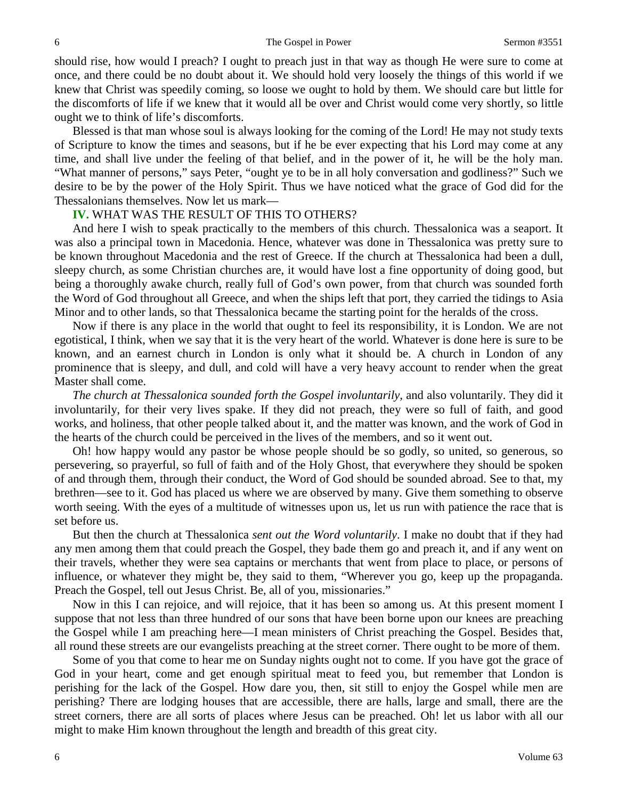should rise, how would I preach? I ought to preach just in that way as though He were sure to come at once, and there could be no doubt about it. We should hold very loosely the things of this world if we knew that Christ was speedily coming, so loose we ought to hold by them. We should care but little for the discomforts of life if we knew that it would all be over and Christ would come very shortly, so little ought we to think of life's discomforts.

Blessed is that man whose soul is always looking for the coming of the Lord! He may not study texts of Scripture to know the times and seasons, but if he be ever expecting that his Lord may come at any time, and shall live under the feeling of that belief, and in the power of it, he will be the holy man. "What manner of persons," says Peter, "ought ye to be in all holy conversation and godliness?" Such we desire to be by the power of the Holy Spirit. Thus we have noticed what the grace of God did for the Thessalonians themselves. Now let us mark—

#### **IV.** WHAT WAS THE RESULT OF THIS TO OTHERS?

And here I wish to speak practically to the members of this church. Thessalonica was a seaport. It was also a principal town in Macedonia. Hence, whatever was done in Thessalonica was pretty sure to be known throughout Macedonia and the rest of Greece. If the church at Thessalonica had been a dull, sleepy church, as some Christian churches are, it would have lost a fine opportunity of doing good, but being a thoroughly awake church, really full of God's own power, from that church was sounded forth the Word of God throughout all Greece, and when the ships left that port, they carried the tidings to Asia Minor and to other lands, so that Thessalonica became the starting point for the heralds of the cross.

Now if there is any place in the world that ought to feel its responsibility, it is London. We are not egotistical, I think, when we say that it is the very heart of the world. Whatever is done here is sure to be known, and an earnest church in London is only what it should be. A church in London of any prominence that is sleepy, and dull, and cold will have a very heavy account to render when the great Master shall come.

*The church at Thessalonica sounded forth the Gospel involuntarily,* and also voluntarily. They did it involuntarily, for their very lives spake. If they did not preach, they were so full of faith, and good works, and holiness, that other people talked about it, and the matter was known, and the work of God in the hearts of the church could be perceived in the lives of the members, and so it went out.

Oh! how happy would any pastor be whose people should be so godly, so united, so generous, so persevering, so prayerful, so full of faith and of the Holy Ghost, that everywhere they should be spoken of and through them, through their conduct, the Word of God should be sounded abroad. See to that, my brethren—see to it. God has placed us where we are observed by many. Give them something to observe worth seeing. With the eyes of a multitude of witnesses upon us, let us run with patience the race that is set before us.

But then the church at Thessalonica *sent out the Word voluntarily*. I make no doubt that if they had any men among them that could preach the Gospel, they bade them go and preach it, and if any went on their travels, whether they were sea captains or merchants that went from place to place, or persons of influence, or whatever they might be, they said to them, "Wherever you go, keep up the propaganda. Preach the Gospel, tell out Jesus Christ. Be, all of you, missionaries."

Now in this I can rejoice, and will rejoice, that it has been so among us. At this present moment I suppose that not less than three hundred of our sons that have been borne upon our knees are preaching the Gospel while I am preaching here—I mean ministers of Christ preaching the Gospel. Besides that, all round these streets are our evangelists preaching at the street corner. There ought to be more of them.

Some of you that come to hear me on Sunday nights ought not to come. If you have got the grace of God in your heart, come and get enough spiritual meat to feed you, but remember that London is perishing for the lack of the Gospel. How dare you, then, sit still to enjoy the Gospel while men are perishing? There are lodging houses that are accessible, there are halls, large and small, there are the street corners, there are all sorts of places where Jesus can be preached. Oh! let us labor with all our might to make Him known throughout the length and breadth of this great city.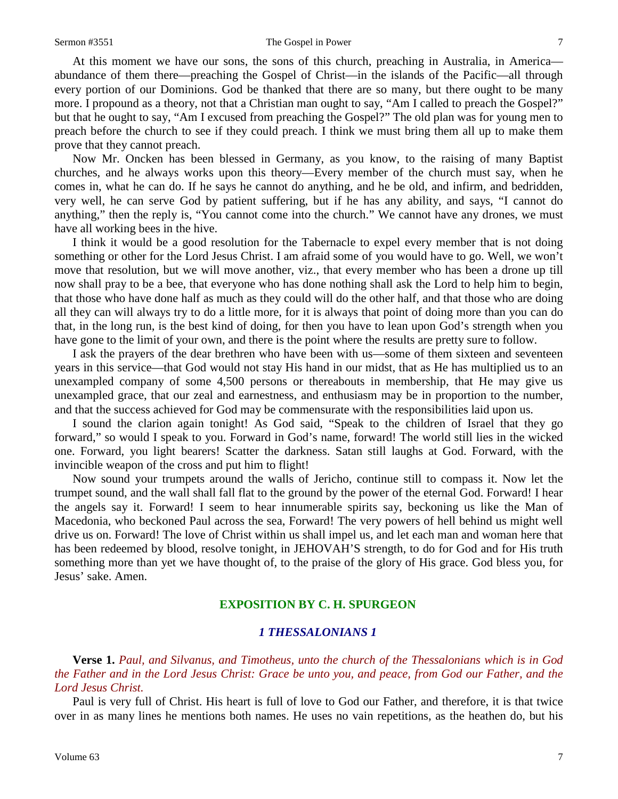#### Sermon #3551 The Gospel in Power 7

At this moment we have our sons, the sons of this church, preaching in Australia, in America abundance of them there—preaching the Gospel of Christ—in the islands of the Pacific—all through every portion of our Dominions. God be thanked that there are so many, but there ought to be many more. I propound as a theory, not that a Christian man ought to say, "Am I called to preach the Gospel?" but that he ought to say, "Am I excused from preaching the Gospel?" The old plan was for young men to preach before the church to see if they could preach. I think we must bring them all up to make them prove that they cannot preach.

Now Mr. Oncken has been blessed in Germany, as you know, to the raising of many Baptist churches, and he always works upon this theory—Every member of the church must say, when he comes in, what he can do. If he says he cannot do anything, and he be old, and infirm, and bedridden, very well, he can serve God by patient suffering, but if he has any ability, and says, "I cannot do anything," then the reply is, "You cannot come into the church." We cannot have any drones, we must have all working bees in the hive.

I think it would be a good resolution for the Tabernacle to expel every member that is not doing something or other for the Lord Jesus Christ. I am afraid some of you would have to go. Well, we won't move that resolution, but we will move another, viz., that every member who has been a drone up till now shall pray to be a bee, that everyone who has done nothing shall ask the Lord to help him to begin, that those who have done half as much as they could will do the other half, and that those who are doing all they can will always try to do a little more, for it is always that point of doing more than you can do that, in the long run, is the best kind of doing, for then you have to lean upon God's strength when you have gone to the limit of your own, and there is the point where the results are pretty sure to follow.

I ask the prayers of the dear brethren who have been with us—some of them sixteen and seventeen years in this service—that God would not stay His hand in our midst, that as He has multiplied us to an unexampled company of some 4,500 persons or thereabouts in membership, that He may give us unexampled grace, that our zeal and earnestness, and enthusiasm may be in proportion to the number, and that the success achieved for God may be commensurate with the responsibilities laid upon us.

I sound the clarion again tonight! As God said, "Speak to the children of Israel that they go forward," so would I speak to you. Forward in God's name, forward! The world still lies in the wicked one. Forward, you light bearers! Scatter the darkness. Satan still laughs at God. Forward, with the invincible weapon of the cross and put him to flight!

Now sound your trumpets around the walls of Jericho, continue still to compass it. Now let the trumpet sound, and the wall shall fall flat to the ground by the power of the eternal God. Forward! I hear the angels say it. Forward! I seem to hear innumerable spirits say, beckoning us like the Man of Macedonia, who beckoned Paul across the sea, Forward! The very powers of hell behind us might well drive us on. Forward! The love of Christ within us shall impel us, and let each man and woman here that has been redeemed by blood, resolve tonight, in JEHOVAH'S strength, to do for God and for His truth something more than yet we have thought of, to the praise of the glory of His grace. God bless you, for Jesus' sake. Amen.

### **EXPOSITION BY C. H. SPURGEON**

#### *1 THESSALONIANS 1*

**Verse 1.** *Paul, and Silvanus, and Timotheus, unto the church of the Thessalonians which is in God the Father and in the Lord Jesus Christ: Grace be unto you, and peace, from God our Father, and the Lord Jesus Christ.* 

Paul is very full of Christ. His heart is full of love to God our Father, and therefore, it is that twice over in as many lines he mentions both names. He uses no vain repetitions, as the heathen do, but his